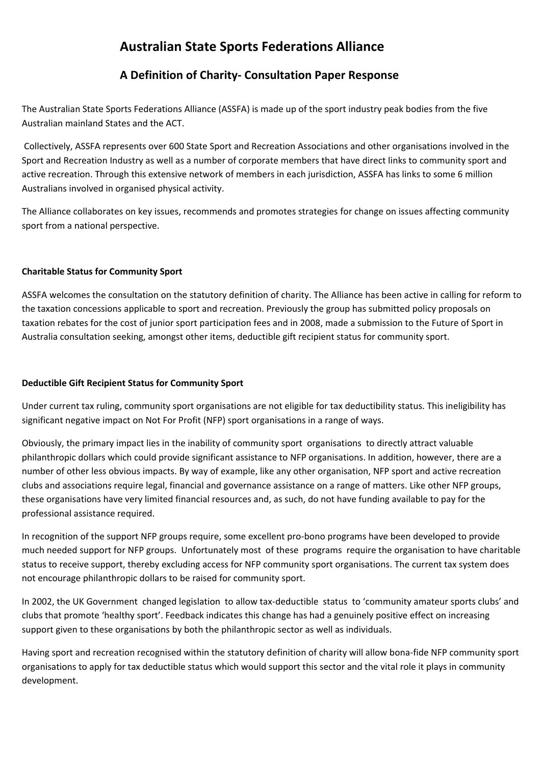# **Australian State Sports Federations Alliance**

# **A Definition of Charity- Consultation Paper Response**

The Australian State Sports Federations Alliance (ASSFA) is made up of the sport industry peak bodies from the five Australian mainland States and the ACT.

Collectively, ASSFA represents over 600 State Sport and Recreation Associations and other organisations involved in the Sport and Recreation Industry as well as a number of corporate members that have direct links to community sport and active recreation. Through this extensive network of members in each jurisdiction, ASSFA has links to some 6 million Australians involved in organised physical activity.

The Alliance collaborates on key issues, recommends and promotes strategies for change on issues affecting community sport from a national perspective.

# **Charitable Status for Community Sport**

ASSFA welcomes the consultation on the statutory definition of charity. The Alliance has been active in calling for reform to the taxation concessions applicable to sport and recreation. Previously the group has submitted policy proposals on taxation rebates for the cost of junior sport participation fees and in 2008, made a submission to the Future of Sport in Australia consultation seeking, amongst other items, deductible gift recipient status for community sport.

# **Deductible Gift Recipient Status for Community Sport**

Under current tax ruling, community sport organisations are not eligible for tax deductibility status. This ineligibility has significant negative impact on Not For Profit (NFP) sport organisations in a range of ways.

Obviously, the primary impact lies in the inability of community sport organisations to directly attract valuable philanthropic dollars which could provide significant assistance to NFP organisations. In addition, however, there are a number of other less obvious impacts. By way of example, like any other organisation, NFP sport and active recreation clubs and associations require legal, financial and governance assistance on a range of matters. Like other NFP groups, these organisations have very limited financial resources and, as such, do not have funding available to pay for the professional assistance required.

In recognition of the support NFP groups require, some excellent pro-bono programs have been developed to provide much needed support for NFP groups. Unfortunately most of these programs require the organisation to have charitable status to receive support, thereby excluding access for NFP community sport organisations. The current tax system does not encourage philanthropic dollars to be raised for community sport.

In 2002, the UK Government changed legislation to allow tax-deductible status to 'community amateur sports clubs' and clubs that promote 'healthy sport'. Feedback indicates this change has had a genuinely positive effect on increasing support given to these organisations by both the philanthropic sector as well as individuals.

Having sport and recreation recognised within the statutory definition of charity will allow bona-fide NFP community sport organisations to apply for tax deductible status which would support this sector and the vital role it plays in community development.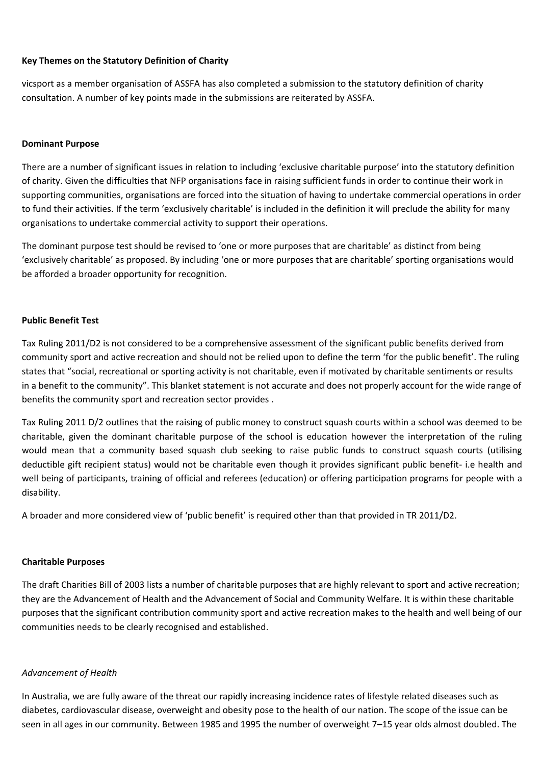#### **Key Themes on the Statutory Definition of Charity**

vicsport as a member organisation of ASSFA has also completed a submission to the statutory definition of charity consultation. A number of key points made in the submissions are reiterated by ASSFA.

#### **Dominant Purpose**

There are a number of significant issues in relation to including 'exclusive charitable purpose' into the statutory definition of charity. Given the difficulties that NFP organisations face in raising sufficient funds in order to continue their work in supporting communities, organisations are forced into the situation of having to undertake commercial operations in order to fund their activities. If the term 'exclusively charitable' is included in the definition it will preclude the ability for many organisations to undertake commercial activity to support their operations.

The dominant purpose test should be revised to 'one or more purposes that are charitable' as distinct from being 'exclusively charitable' as proposed. By including 'one or more purposes that are charitable' sporting organisations would be afforded a broader opportunity for recognition.

#### **Public Benefit Test**

Tax Ruling 2011/D2 is not considered to be a comprehensive assessment of the significant public benefits derived from community sport and active recreation and should not be relied upon to define the term 'for the public benefit'. The ruling states that "social, recreational or sporting activity is not charitable, even if motivated by charitable sentiments or results in a benefit to the community". This blanket statement is not accurate and does not properly account for the wide range of benefits the community sport and recreation sector provides .

Tax Ruling 2011 D/2 outlines that the raising of public money to construct squash courts within a school was deemed to be charitable, given the dominant charitable purpose of the school is education however the interpretation of the ruling would mean that a community based squash club seeking to raise public funds to construct squash courts (utilising deductible gift recipient status) would not be charitable even though it provides significant public benefit- i.e health and well being of participants, training of official and referees (education) or offering participation programs for people with a disability.

A broader and more considered view of 'public benefit' is required other than that provided in TR 2011/D2.

#### **Charitable Purposes**

The draft Charities Bill of 2003 lists a number of charitable purposes that are highly relevant to sport and active recreation; they are the Advancement of Health and the Advancement of Social and Community Welfare. It is within these charitable purposes that the significant contribution community sport and active recreation makes to the health and well being of our communities needs to be clearly recognised and established.

## *Advancement of Health*

In Australia, we are fully aware of the threat our rapidly increasing incidence rates of lifestyle related diseases such as diabetes, cardiovascular disease, overweight and obesity pose to the health of our nation. The scope of the issue can be seen in all ages in our community. Between 1985 and 1995 the number of overweight 7–15 year olds almost doubled. The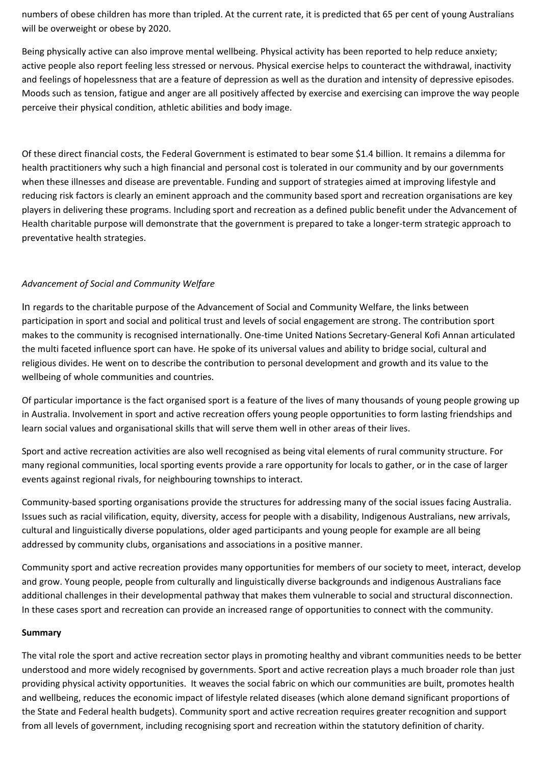numbers of obese children has more than tripled. At the current rate, it is predicted that 65 per cent of young Australians will be overweight or obese by 2020.

Being physically active can also improve mental wellbeing. Physical activity has been reported to help reduce anxiety; active people also report feeling less stressed or nervous. Physical exercise helps to counteract the withdrawal, inactivity and feelings of hopelessness that are a feature of depression as well as the duration and intensity of depressive episodes. Moods such as tension, fatigue and anger are all positively affected by exercise and exercising can improve the way people perceive their physical condition, athletic abilities and body image.

Of these direct financial costs, the Federal Government is estimated to bear some \$1.4 billion. It remains a dilemma for health practitioners why such a high financial and personal cost is tolerated in our community and by our governments when these illnesses and disease are preventable. Funding and support of strategies aimed at improving lifestyle and reducing risk factors is clearly an eminent approach and the community based sport and recreation organisations are key players in delivering these programs. Including sport and recreation as a defined public benefit under the Advancement of Health charitable purpose will demonstrate that the government is prepared to take a longer-term strategic approach to preventative health strategies.

# *Advancement of Social and Community Welfare*

In regards to the charitable purpose of the Advancement of Social and Community Welfare, the links between participation in sport and social and political trust and levels of social engagement are strong. The contribution sport makes to the community is recognised internationally. One-time United Nations Secretary-General Kofi Annan articulated the multi faceted influence sport can have. He spoke of its universal values and ability to bridge social, cultural and religious divides. He went on to describe the contribution to personal development and growth and its value to the wellbeing of whole communities and countries.

Of particular importance is the fact organised sport is a feature of the lives of many thousands of young people growing up in Australia. Involvement in sport and active recreation offers young people opportunities to form lasting friendships and learn social values and organisational skills that will serve them well in other areas of their lives.

Sport and active recreation activities are also well recognised as being vital elements of rural community structure. For many regional communities, local sporting events provide a rare opportunity for locals to gather, or in the case of larger events against regional rivals, for neighbouring townships to interact.

Community-based sporting organisations provide the structures for addressing many of the social issues facing Australia. Issues such as racial vilification, equity, diversity, access for people with a disability, Indigenous Australians, new arrivals, cultural and linguistically diverse populations, older aged participants and young people for example are all being addressed by community clubs, organisations and associations in a positive manner.

Community sport and active recreation provides many opportunities for members of our society to meet, interact, develop and grow. Young people, people from culturally and linguistically diverse backgrounds and indigenous Australians face additional challenges in their developmental pathway that makes them vulnerable to social and structural disconnection. In these cases sport and recreation can provide an increased range of opportunities to connect with the community.

## **Summary**

The vital role the sport and active recreation sector plays in promoting healthy and vibrant communities needs to be better understood and more widely recognised by governments. Sport and active recreation plays a much broader role than just providing physical activity opportunities. It weaves the social fabric on which our communities are built, promotes health and wellbeing, reduces the economic impact of lifestyle related diseases (which alone demand significant proportions of the State and Federal health budgets). Community sport and active recreation requires greater recognition and support from all levels of government, including recognising sport and recreation within the statutory definition of charity.